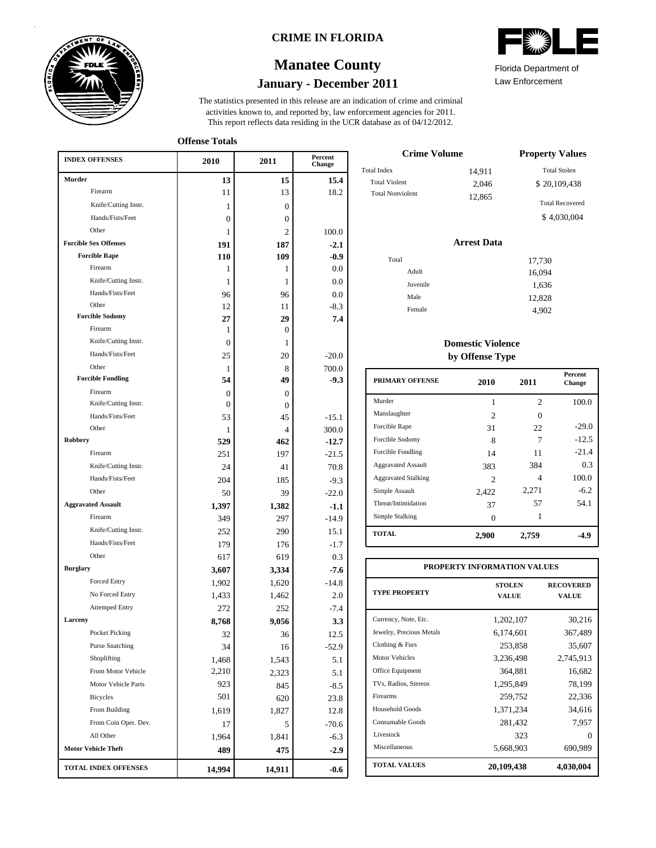

#### **CRIME IN FLORIDA**

# **January - December 2011 Manatee County**

This report reflects data residing in the UCR database as of 04/12/2012. activities known to, and reported by, law enforcement agencies for 2011. The statistics presented in this release are an indication of crime and criminal

**Offense Totals**

| <b>INDEX OFFENSES</b>        | 2010           | 2011           | Percent<br>Change |
|------------------------------|----------------|----------------|-------------------|
| Murder                       | 13             | 15             | 15.4              |
| Firearm                      | 11             | 13             | 18.2              |
| Knife/Cutting Instr.         | 1              | $\Omega$       |                   |
| Hands/Fists/Feet             | $\overline{0}$ | 0              |                   |
| Other                        | 1              | $\overline{c}$ | 100.0             |
| <b>Forcible Sex Offenses</b> | 191            | 187            | $-2.1$            |
| <b>Forcible Rape</b>         | 110            | 109            | $-0.9$            |
| Firearm                      | 1              | 1              | $0.0\,$           |
| Knife/Cutting Instr.         | 1              | 1              | 0.0               |
| Hands/Fists/Feet             | 96             | 96             | 0.0               |
| Other                        | 12             | 11             | $-8.3$            |
| <b>Forcible Sodomy</b>       | 27             | 29             | 7.4               |
| Firearm                      | 1              | $\mathbf{0}$   |                   |
| Knife/Cutting Instr.         | $\overline{0}$ | 1              |                   |
| Hands/Fists/Feet             | 25             | 20             | $-20.0$           |
| Other                        | 1              | 8              | 700.0             |
| <b>Forcible Fondling</b>     | 54             | 49             | $-9.3$            |
| Firearm                      | $\theta$       | $\Omega$       |                   |
| Knife/Cutting Instr.         | $\Omega$       | 0              |                   |
| Hands/Fists/Feet             | 53             | 45             | $-15.1$           |
| Other<br>Robbery             | 1              | 4              | 300.0             |
| Firearm                      | 529            | 462            | $-12.7$           |
|                              | 251            | 197            | $-21.5$           |
| Knife/Cutting Instr.         | 24             | 41             | 70.8              |
| Hands/Fists/Feet             | 204            | 185            | $-9.3$            |
| Other                        | 50             | 39             | $-22.0$           |
| <b>Aggravated Assault</b>    | 1,397          | 1,382          | $-1.1$            |
| Firearm                      | 349            | 297            | $-14.9$           |
| Knife/Cutting Instr.         | 252            | 290            | 15.1              |
| Hands/Fists/Feet             | 179            | 176            | $-1.7$            |
| Other                        | 617            | 619            | 0.3               |
| <b>Burglary</b>              | 3,607          | 3,334          | $-7.6$            |
| Forced Entry                 | 1,902          | 1,620          | $-14.8$           |
| No Forced Entry              | 1,433          | 1,462          | 2.0               |
| <b>Attemped Entry</b>        | 272            | 252            | $-7.4$            |
| Larceny                      | 8,768          | 9,056          | 3.3               |
| Pocket Picking               | 32             | 36             | 12.5              |
| <b>Purse Snatching</b>       | 34             | 16             | -52.9             |
| Shoplifting                  | 1,468          | 1,543          | 5.1               |
| From Motor Vehicle           | 2,210          | 2,323          | 5.1               |
| Motor Vehicle Parts          | 923            | 845            | $-8.5$            |
| Bicycles                     | 501            | 620            | 23.8              |
| From Building                | 1,619          | 1,827          | 12.8              |
| From Coin Oper. Dev.         | 17             | 5              | $-70.6$           |
| All Other                    | 1,964          | 1,841          | $-6.3$            |
| <b>Motor Vehicle Theft</b>   | 489            | 475            | $-2.9$            |
| <b>TOTAL INDEX OFFENSES</b>  | 14,994         | 14,911         | $-0.6$            |

| Florida Department of |  |
|-----------------------|--|

Law Enforcement

| <b>Crime Volume</b>     | <b>Property Values</b> |                        |
|-------------------------|------------------------|------------------------|
| Total Index             | 14.911                 | Total Stolen           |
| <b>Total Violent</b>    | 2.046                  | \$20,109,438           |
| <b>Total Nonviolent</b> | 12,865                 | <b>Total Recovered</b> |
|                         |                        | \$4,030,004            |

#### **Arrest Data**

| Total |          | 17,730 |
|-------|----------|--------|
|       | Adult    | 16,094 |
|       | Juvenile | 1,636  |
|       | Male     | 12,828 |
|       | Female   | 4,902  |
|       |          |        |

### **Domestic Violence by Offense Type**

| <b>PRIMARY OFFENSE</b>     | 2010           | 2011           | <b>Percent</b><br>Change |
|----------------------------|----------------|----------------|--------------------------|
| Murder                     | 1              | $\mathfrak{D}$ | 100.0                    |
| Manslaughter               | $\mathfrak{D}$ | 0              |                          |
| Forcible Rape              | 31             | 22             | $-29.0$                  |
| Forcible Sodomy            | 8              | 7              | $-12.5$                  |
| Forcible Fondling          | 14             | 11             | $-21.4$                  |
| <b>Aggravated Assault</b>  | 383            | 384            | 0.3                      |
| <b>Aggravated Stalking</b> | 2              | 4              | 100.0                    |
| Simple Assault             | 2,422          | 2,271          | $-6.2$                   |
| Threat/Intimidation        | 37             | 57             | 54.1                     |
| Simple Stalking            |                |                |                          |
| <b>TOTAL</b>               | 2,900          | 2,759          | -4.9                     |

| PROPERTY INFORMATION VALUES |                               |                                  |  |  |  |  |
|-----------------------------|-------------------------------|----------------------------------|--|--|--|--|
| <b>TYPE PROPERTY</b>        | <b>STOLEN</b><br><b>VALUE</b> | <b>RECOVERED</b><br><b>VALUE</b> |  |  |  |  |
| Currency, Note, Etc.        | 1,202,107                     | 30,216                           |  |  |  |  |
| Jewelry, Precious Metals    | 6,174,601                     | 367,489                          |  |  |  |  |
| Clothing & Furs             | 253,858                       | 35,607                           |  |  |  |  |
| <b>Motor Vehicles</b>       | 3,236,498                     | 2,745,913                        |  |  |  |  |
| Office Equipment            | 364.881                       | 16,682                           |  |  |  |  |
| TVs, Radios, Stereos        | 1,295,849                     | 78,199                           |  |  |  |  |
| Firearms                    | 259,752                       | 22,336                           |  |  |  |  |
| Household Goods             | 1,371,234                     | 34,616                           |  |  |  |  |
| Consumable Goods            | 281,432                       | 7,957                            |  |  |  |  |
| Livestock                   | 323                           | 0                                |  |  |  |  |
| Miscellaneous               | 5,668,903                     | 690,989                          |  |  |  |  |
| <b>TOTAL VALUES</b>         | 20,109,438                    | 4,030,004                        |  |  |  |  |